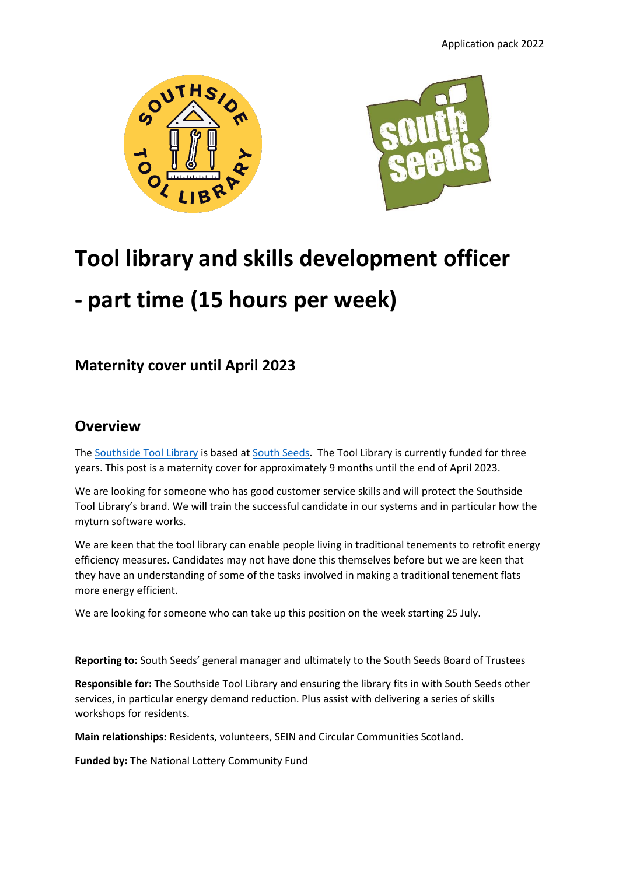



# **Tool library and skills development officer**

## **- part time (15 hours per week)**

## **Maternity cover until April 2023**

### **Overview**

The [Southside Tool Library](https://southsidetoollibrary.myturn.com/library/) is based at [South Seeds.](https://southseeds.org/) The Tool Library is currently funded for three years. This post is a maternity cover for approximately 9 months until the end of April 2023.

We are looking for someone who has good customer service skills and will protect the Southside Tool Library's brand. We will train the successful candidate in our systems and in particular how the myturn software works.

We are keen that the tool library can enable people living in traditional tenements to retrofit energy efficiency measures. Candidates may not have done this themselves before but we are keen that they have an understanding of some of the tasks involved in making a traditional tenement flats more energy efficient.

We are looking for someone who can take up this position on the week starting 25 July.

**Reporting to:** South Seeds' general manager and ultimately to the South Seeds Board of Trustees

**Responsible for:** The Southside Tool Library and ensuring the library fits in with South Seeds other services, in particular energy demand reduction. Plus assist with delivering a series of skills workshops for residents.

**Main relationships:** Residents, volunteers, SEIN and Circular Communities Scotland.

**Funded by:** The National Lottery Community Fund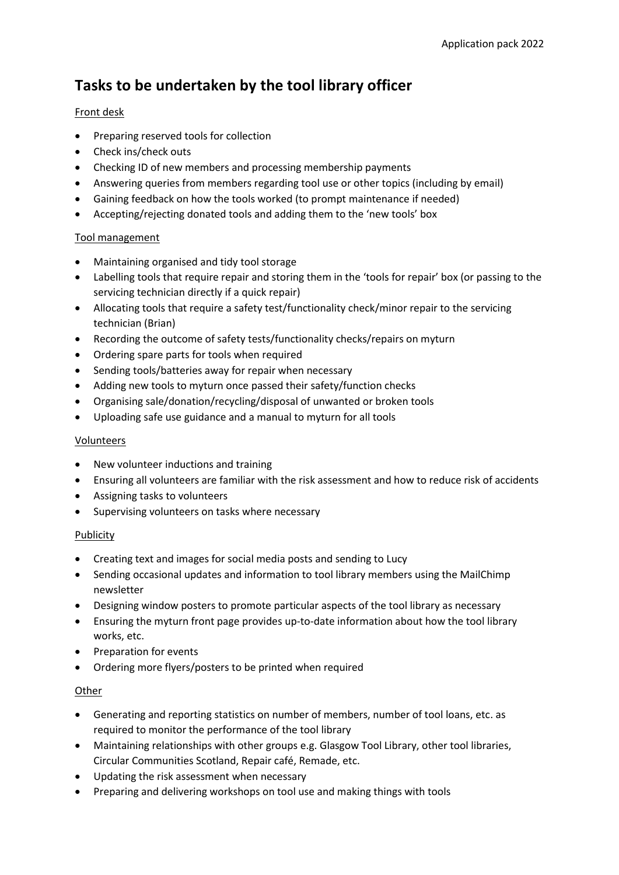## **Tasks to be undertaken by the tool library officer**

#### Front desk

- Preparing reserved tools for collection
- Check ins/check outs
- Checking ID of new members and processing membership payments
- Answering queries from members regarding tool use or other topics (including by email)
- Gaining feedback on how the tools worked (to prompt maintenance if needed)
- Accepting/rejecting donated tools and adding them to the 'new tools' box

#### Tool management

- Maintaining organised and tidy tool storage
- Labelling tools that require repair and storing them in the 'tools for repair' box (or passing to the servicing technician directly if a quick repair)
- Allocating tools that require a safety test/functionality check/minor repair to the servicing technician (Brian)
- Recording the outcome of safety tests/functionality checks/repairs on myturn
- Ordering spare parts for tools when required
- Sending tools/batteries away for repair when necessary
- Adding new tools to myturn once passed their safety/function checks
- Organising sale/donation/recycling/disposal of unwanted or broken tools
- Uploading safe use guidance and a manual to myturn for all tools

#### Volunteers

- New volunteer inductions and training
- Ensuring all volunteers are familiar with the risk assessment and how to reduce risk of accidents
- Assigning tasks to volunteers
- Supervising volunteers on tasks where necessary

#### Publicity

- Creating text and images for social media posts and sending to Lucy
- Sending occasional updates and information to tool library members using the MailChimp newsletter
- Designing window posters to promote particular aspects of the tool library as necessary
- Ensuring the myturn front page provides up-to-date information about how the tool library works, etc.
- Preparation for events
- Ordering more flyers/posters to be printed when required

#### **Other**

- Generating and reporting statistics on number of members, number of tool loans, etc. as required to monitor the performance of the tool library
- Maintaining relationships with other groups e.g. Glasgow Tool Library, other tool libraries, Circular Communities Scotland, Repair café, Remade, etc.
- Updating the risk assessment when necessary
- Preparing and delivering workshops on tool use and making things with tools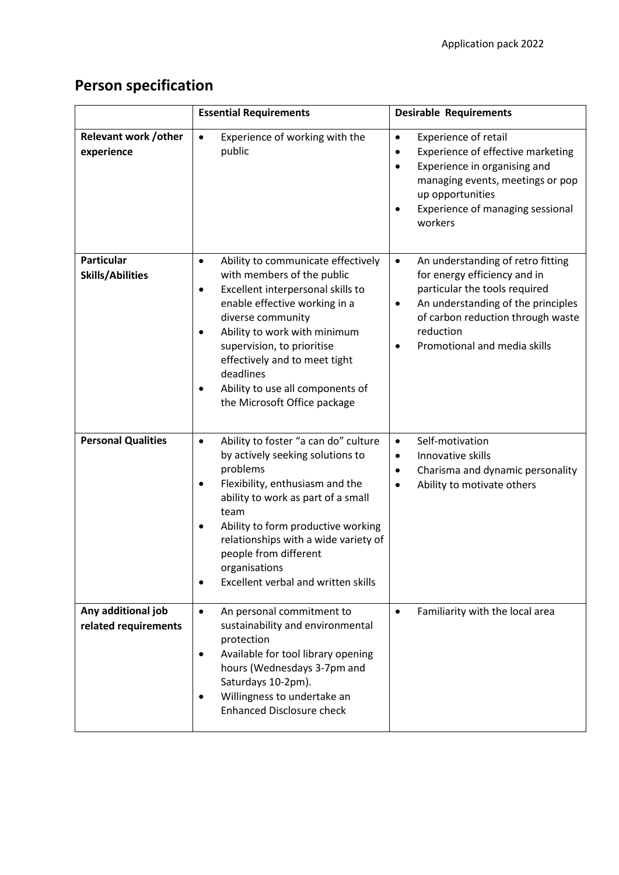## **Person specification**

|                                              | <b>Essential Requirements</b>                                                                                                                                                                                                                                                                                                                                                           | <b>Desirable Requirements</b>                                                                                                                                                                                                           |
|----------------------------------------------|-----------------------------------------------------------------------------------------------------------------------------------------------------------------------------------------------------------------------------------------------------------------------------------------------------------------------------------------------------------------------------------------|-----------------------------------------------------------------------------------------------------------------------------------------------------------------------------------------------------------------------------------------|
| <b>Relevant work /other</b><br>experience    | Experience of working with the<br>$\bullet$<br>public                                                                                                                                                                                                                                                                                                                                   | <b>Experience of retail</b><br>٠<br>Experience of effective marketing<br>٠<br>Experience in organising and<br>managing events, meetings or pop<br>up opportunities<br>Experience of managing sessional<br>workers                       |
| <b>Particular</b><br><b>Skills/Abilities</b> | Ability to communicate effectively<br>$\bullet$<br>with members of the public<br>Excellent interpersonal skills to<br>$\bullet$<br>enable effective working in a<br>diverse community<br>Ability to work with minimum<br>$\bullet$<br>supervision, to prioritise<br>effectively and to meet tight<br>deadlines<br>Ability to use all components of<br>٠<br>the Microsoft Office package | An understanding of retro fitting<br>$\bullet$<br>for energy efficiency and in<br>particular the tools required<br>An understanding of the principles<br>of carbon reduction through waste<br>reduction<br>Promotional and media skills |
| <b>Personal Qualities</b>                    | Ability to foster "a can do" culture<br>$\bullet$<br>by actively seeking solutions to<br>problems<br>Flexibility, enthusiasm and the<br>٠<br>ability to work as part of a small<br>team<br>Ability to form productive working<br>$\bullet$<br>relationships with a wide variety of<br>people from different<br>organisations<br>Excellent verbal and written skills<br>$\bullet$        | Self-motivation<br>$\bullet$<br>Innovative skills<br>$\bullet$<br>Charisma and dynamic personality<br>Ability to motivate others                                                                                                        |
| Any additional job<br>related requirements   | An personal commitment to<br>$\bullet$<br>sustainability and environmental<br>protection<br>Available for tool library opening<br>٠<br>hours (Wednesdays 3-7pm and<br>Saturdays 10-2pm).<br>Willingness to undertake an<br>٠<br><b>Enhanced Disclosure check</b>                                                                                                                        | Familiarity with the local area<br>$\bullet$                                                                                                                                                                                            |